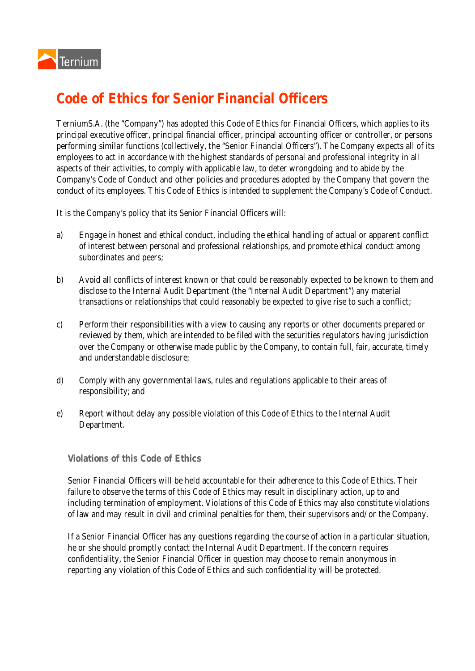## **Code of Ethics for Senior Financial Officers**

TerniumS.A. (the "Company") has adopted this Code of Ethics for Financial Officers, which applies to its principal executive officer, principal financial officer, principal accounting officer or controller, or persons performing similar functions (collectively, the "Senior Financial Officers"). The Company expects all of its employees to act in accordance with the highest standards of personal and professional integrity in all aspects of their activities, to comply with applicable law, to deter wrongdoing and to abide by the Company's Code of Conduct and other policies and procedures adopted by the Company that govern the conduct of its employees. This Code of Ethics is intended to supplement the Company's Code of Conduct.

It is the Company's policy that its Senior Financial Officers will:

- a) Engage in honest and ethical conduct, including the ethical handling of actual or apparent conflict of interest between personal and professional relationships, and promote ethical conduct among subordinates and peers;
- b) Avoid all conflicts of interest known or that could be reasonably expected to be known to them and disclose to the Internal Audit Department (the "Internal Audit Department") any material transactions or relationships that could reasonably be expected to give rise to such a conflict;
- c) Perform their responsibilities with a view to causing any reports or other documents prepared or reviewed by them, which are intended to be filed with the securities regulators having jurisdiction over the Company or otherwise made public by the Company, to contain full, fair, accurate, timely and understandable disclosure;
- d) Comply with any governmental laws, rules and regulations applicable to their areas of responsibility; and
- e) Report without delay any possible violation of this Code of Ethics to the Internal Audit Department.

## **Violations of this Code of Ethics**

Senior Financial Officers will be held accountable for their adherence to this Code of Ethics. Their failure to observe the terms of this Code of Ethics may result in disciplinary action, up to and including termination of employment. Violations of this Code of Ethics may also constitute violations of law and may result in civil and criminal penalties for them, their supervisors and/or the Company.

If a Senior Financial Officer has any questions regarding the course of action in a particular situation, he or she should promptly contact the Internal Audit Department. If the concern requires confidentiality, the Senior Financial Officer in question may choose to remain anonymous in reporting any violation of this Code of Ethics and such confidentiality will be protected.